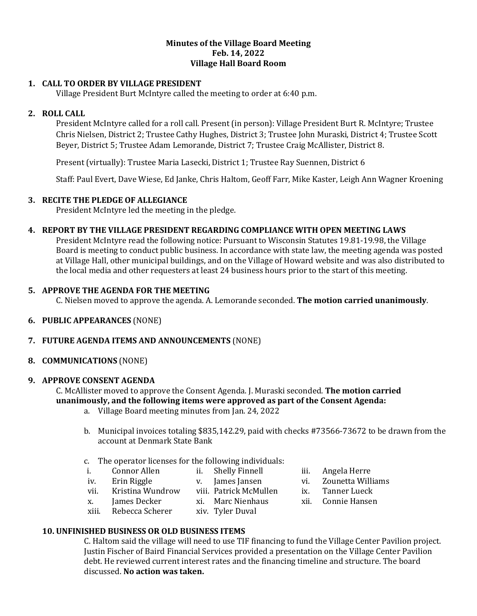#### **Minutes of the Village Board Meeting Feb. 14, 2022 Village Hall Board Room**

## **1. CALL TO ORDER BY VILLAGE PRESIDENT**

Village President Burt McIntyre called the meeting to order at 6:40 p.m.

## **2. ROLL CALL**

President McIntyre called for a roll call. Present (in person): Village President Burt R. McIntyre; Trustee Chris Nielsen, District 2; Trustee Cathy Hughes, District 3; Trustee John Muraski, District 4; Trustee Scott Beyer, District 5; Trustee Adam Lemorande, District 7; Trustee Craig McAllister, District 8.

Present (virtually): Trustee Maria Lasecki, District 1; Trustee Ray Suennen, District 6

Staff: Paul Evert, Dave Wiese, Ed Janke, Chris Haltom, Geoff Farr, Mike Kaster, Leigh Ann Wagner Kroening

## **3. RECITE THE PLEDGE OF ALLEGIANCE**

President McIntyre led the meeting in the pledge.

## **4. REPORT BY THE VILLAGE PRESIDENT REGARDING COMPLIANCE WITH OPEN MEETING LAWS**

President McIntyre read the following notice: Pursuant to Wisconsin Statutes 19.81-19.98, the Village Board is meeting to conduct public business. In accordance with state law, the meeting agenda was posted at Village Hall, other municipal buildings, and on the Village of Howard website and was also distributed to the local media and other requesters at least 24 business hours prior to the start of this meeting.

## **5. APPROVE THE AGENDA FOR THE MEETING**

C. Nielsen moved to approve the agenda. A. Lemorande seconded. **The motion carried unanimously**.

**6. PUBLIC APPEARANCES** (NONE)

## **7. FUTURE AGENDA ITEMS AND ANNOUNCEMENTS** (NONE)

## **8. COMMUNICATIONS** (NONE)

#### **9. APPROVE CONSENT AGENDA**

C. McAllister moved to approve the Consent Agenda. J. Muraski seconded. **The motion carried unanimously, and the following items were approved as part of the Consent Agenda:**

- a. Village Board meeting minutes from Jan. 24, 2022
- b. Municipal invoices totaling \$835,142.29, paid with checks #73566-73672 to be drawn from the account at Denmark State Bank
- c. The operator licenses for the following individuals:
- i. Connor Allen ii. Shelly Finnell iii. Angela Herre
- 
- vii. Kristina Wundrow viii. Patrick McMullen ix. Tanner Lueck
- x. James Decker xi. Marc Nienhaus xii. Connie Hansen
	-
- iv. Erin Riggle v. James Jansen vi. Zounetta Williams
	-
	-
- xiii. Rebecca Scherer xiv. Tyler Duval
- 
- 
- 
- 
- **10. UNFINISHED BUSINESS OR OLD BUSINESS ITEMS**

C. Haltom said the village will need to use TIF financing to fund the Village Center Pavilion project. Justin Fischer of Baird Financial Services provided a presentation on the Village Center Pavilion debt. He reviewed current interest rates and the financing timeline and structure. The board discussed. **No action was taken.**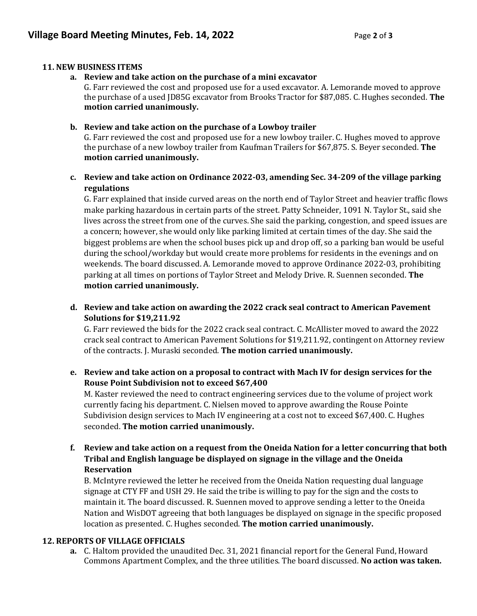## **11. NEW BUSINESS ITEMS**

**a. Review and take action on the purchase of a mini excavator**

G. Farr reviewed the cost and proposed use for a used excavator. A. Lemorande moved to approve the purchase of a used JD85G excavator from Brooks Tractor for \$87,085. C. Hughes seconded. **The motion carried unanimously.** 

## **b. Review and take action on the purchase of a Lowboy trailer**

G. Farr reviewed the cost and proposed use for a new lowboy trailer. C. Hughes moved to approve the purchase of a new lowboy trailer from Kaufman Trailers for \$67,875. S. Beyer seconded. **The motion carried unanimously.** 

# **c. Review and take action on Ordinance 2022-03, amending Sec. 34-209 of the village parking regulations**

G. Farr explained that inside curved areas on the north end of Taylor Street and heavier traffic flows make parking hazardous in certain parts of the street. Patty Schneider, 1091 N. Taylor St., said she lives across the street from one of the curves. She said the parking, congestion, and speed issues are a concern; however, she would only like parking limited at certain times of the day. She said the biggest problems are when the school buses pick up and drop off, so a parking ban would be useful during the school/workday but would create more problems for residents in the evenings and on weekends. The board discussed. A. Lemorande moved to approve Ordinance 2022-03, prohibiting parking at all times on portions of Taylor Street and Melody Drive. R. Suennen seconded. **The motion carried unanimously.** 

# **d. Review and take action on awarding the 2022 crack seal contract to American Pavement Solutions for \$19,211.92**

G. Farr reviewed the bids for the 2022 crack seal contract. C. McAllister moved to award the 2022 crack seal contract to American Pavement Solutions for \$19,211.92, contingent on Attorney review of the contracts. J. Muraski seconded. **The motion carried unanimously.** 

# **e. Review and take action on a proposal to contract with Mach IV for design services for the Rouse Point Subdivision not to exceed \$67,400**

M. Kaster reviewed the need to contract engineering services due to the volume of project work currently facing his department. C. Nielsen moved to approve awarding the Rouse Pointe Subdivision design services to Mach IV engineering at a cost not to exceed \$67,400. C. Hughes seconded. **The motion carried unanimously.**

**f. Review and take action on a request from the Oneida Nation for a letter concurring that both Tribal and English language be displayed on signage in the village and the Oneida Reservation**

B. McIntyre reviewed the letter he received from the Oneida Nation requesting dual language signage at CTY FF and USH 29. He said the tribe is willing to pay for the sign and the costs to maintain it. The board discussed. R. Suennen moved to approve sending a letter to the Oneida Nation and WisDOT agreeing that both languages be displayed on signage in the specific proposed location as presented. C. Hughes seconded. **The motion carried unanimously.**

## **12. REPORTS OF VILLAGE OFFICIALS**

**a.** C. Haltom provided the unaudited Dec. 31, 2021 financial report for the General Fund, Howard Commons Apartment Complex, and the three utilities. The board discussed. **No action was taken.**